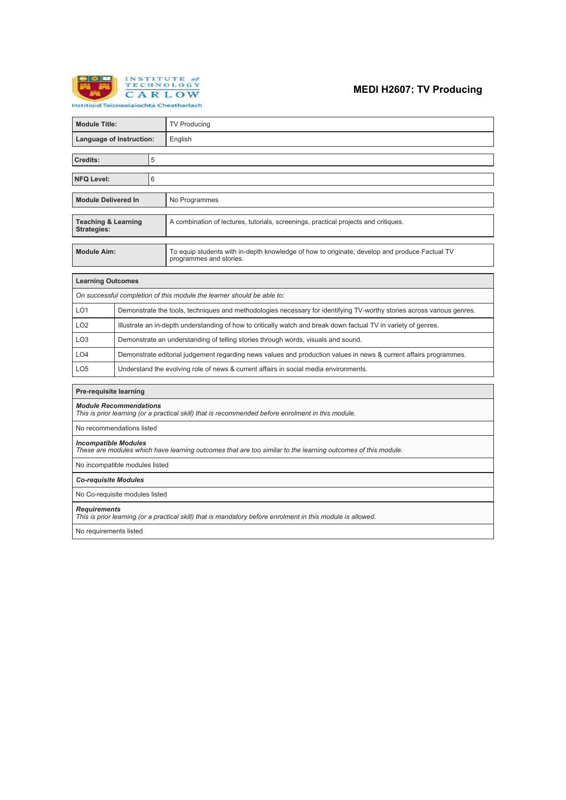

## **MEDI H2607: TV Producing**

| <b>Module Title:</b>                                                   |                                                                                                                        |  | <b>TV Producing</b>                                                                                                      |  |
|------------------------------------------------------------------------|------------------------------------------------------------------------------------------------------------------------|--|--------------------------------------------------------------------------------------------------------------------------|--|
| Language of Instruction:                                               |                                                                                                                        |  | English                                                                                                                  |  |
|                                                                        |                                                                                                                        |  |                                                                                                                          |  |
| Credits:                                                               | 5                                                                                                                      |  |                                                                                                                          |  |
| <b>NFQ Level:</b>                                                      | 6                                                                                                                      |  |                                                                                                                          |  |
|                                                                        |                                                                                                                        |  |                                                                                                                          |  |
| <b>Module Delivered In</b>                                             |                                                                                                                        |  | No Programmes                                                                                                            |  |
|                                                                        |                                                                                                                        |  |                                                                                                                          |  |
| <b>Teaching &amp; Learning</b><br><b>Strategies:</b>                   |                                                                                                                        |  | A combination of lectures, tutorials, screenings, practical projects and critiques.                                      |  |
|                                                                        |                                                                                                                        |  |                                                                                                                          |  |
| <b>Module Aim:</b>                                                     |                                                                                                                        |  | To equip students with in-depth knowledge of how to originate, develop and produce Factual TV<br>programmes and stories. |  |
|                                                                        |                                                                                                                        |  |                                                                                                                          |  |
| <b>Learning Outcomes</b>                                               |                                                                                                                        |  |                                                                                                                          |  |
| On successful completion of this module the learner should be able to: |                                                                                                                        |  |                                                                                                                          |  |
| LO <sub>1</sub>                                                        | Demonstrate the tools, techniques and methodologies necessary for identifying TV-worthy stories across various genres. |  |                                                                                                                          |  |
| LO <sub>2</sub>                                                        | Illustrate an in-depth understanding of how to critically watch and break down factual TV in variety of genres.        |  |                                                                                                                          |  |
| LO <sub>3</sub>                                                        | Demonstrate an understanding of telling stories through words, visuals and sound.                                      |  |                                                                                                                          |  |
| LO4                                                                    | Demonstrate editorial judgement regarding news values and production values in news & current affairs programmes.      |  |                                                                                                                          |  |
| LO <sub>5</sub>                                                        | Understand the evolving role of news & current affairs in social media environments.                                   |  |                                                                                                                          |  |
|                                                                        |                                                                                                                        |  |                                                                                                                          |  |
| Pre-requisite learning                                                 |                                                                                                                        |  |                                                                                                                          |  |
|                                                                        |                                                                                                                        |  |                                                                                                                          |  |

*Module Recommendations*

*This is prior learning (or a practical skill) that is recommended before enrolment in this module.*

No recommendations listed

### *Incompatible Modules*

*These are modules which have learning outcomes that are too similar to the learning outcomes of this module.*

No incompatible modules listed

*Co-requisite Modules*

No Co-requisite modules listed

*Requirements*

*This is prior learning (or a practical skill) that is mandatory before enrolment in this module is allowed.*

No requirements listed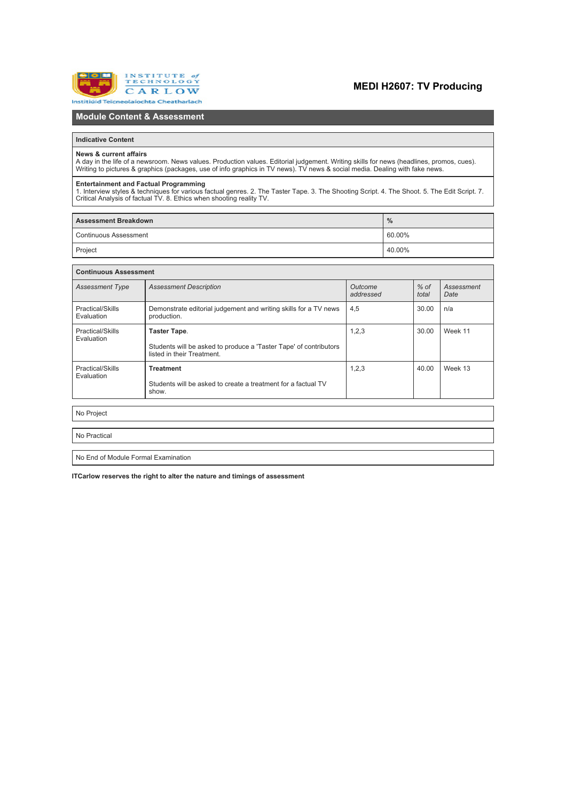

# **MEDI H2607: TV Producing**

## **Module Content & Assessment**

### **Indicative Content**

#### **News & current affairs**

A day in the life of a newsroom. News values. Production values. Editorial judgement. Writing skills for news (headlines, promos, cues).<br>Writing to pictures & graphics (packages, use of info graphics in TV news). TV news &

**Entertainment and Factual Programming**<br>1. Interview styles & techniques for various factual genres. 2. The Taster Tape. 3. The Shooting Script. 4. The Shoot. 5. The Edit Script. 7.<br>Critical Analysis of factual TV, 8. Ethi

| <b>Assessment Breakdown</b> | $\frac{0}{0}$ |  |
|-----------------------------|---------------|--|
| l Continuous Assessment     | 60.00%        |  |
| Project                     | 40.00%        |  |

| <b>Continuous Assessment</b>        |                                                                                                                 |                      |                 |                    |  |  |  |
|-------------------------------------|-----------------------------------------------------------------------------------------------------------------|----------------------|-----------------|--------------------|--|--|--|
| <b>Assessment Type</b>              | <b>Assessment Description</b>                                                                                   | Outcome<br>addressed | $%$ of<br>total | Assessment<br>Date |  |  |  |
| Practical/Skills<br>Evaluation      | Demonstrate editorial judgement and writing skills for a TV news<br>production.                                 | 4,5                  | 30.00           | n/a                |  |  |  |
| Practical/Skills<br>Evaluation      | Taster Tape.<br>Students will be asked to produce a 'Taster Tape' of contributors<br>listed in their Treatment. | 1, 2, 3              | 30.00           | Week 11            |  |  |  |
| Practical/Skills<br>Evaluation      | <b>Treatment</b><br>Students will be asked to create a treatment for a factual TV<br>show.                      | 1,2,3                | 40.00           | Week 13            |  |  |  |
| No Project                          |                                                                                                                 |                      |                 |                    |  |  |  |
| No Practical                        |                                                                                                                 |                      |                 |                    |  |  |  |
| No End of Module Formal Examination |                                                                                                                 |                      |                 |                    |  |  |  |

**ITCarlow reserves the right to alter the nature and timings of assessment**